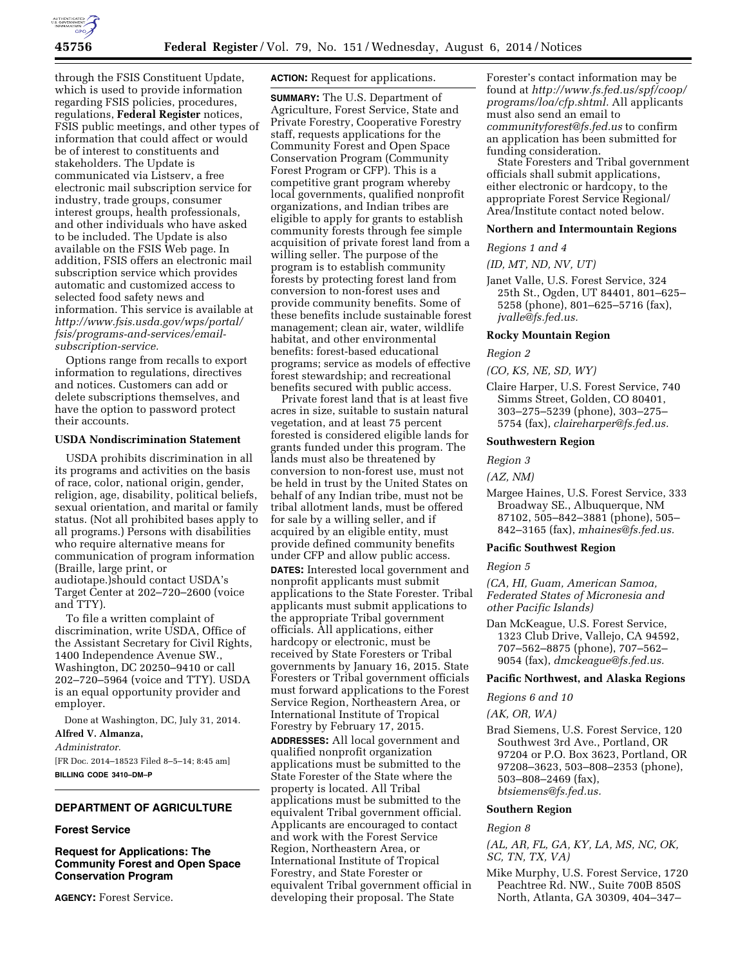

through the FSIS Constituent Update, which is used to provide information regarding FSIS policies, procedures, regulations, **Federal Register** notices, FSIS public meetings, and other types of information that could affect or would be of interest to constituents and stakeholders. The Update is communicated via Listserv, a free electronic mail subscription service for industry, trade groups, consumer interest groups, health professionals, and other individuals who have asked to be included. The Update is also available on the FSIS Web page. In addition, FSIS offers an electronic mail subscription service which provides automatic and customized access to selected food safety news and information. This service is available at *[http://www.fsis.usda.gov/wps/portal/](http://www.fsis.usda.gov/wps/portal/fsis/programs-and-services/email-subscription-service) [fsis/programs-and-services/email](http://www.fsis.usda.gov/wps/portal/fsis/programs-and-services/email-subscription-service)[subscription-service.](http://www.fsis.usda.gov/wps/portal/fsis/programs-and-services/email-subscription-service)* 

Options range from recalls to export information to regulations, directives and notices. Customers can add or delete subscriptions themselves, and have the option to password protect their accounts.

### **USDA Nondiscrimination Statement**

USDA prohibits discrimination in all its programs and activities on the basis of race, color, national origin, gender, religion, age, disability, political beliefs, sexual orientation, and marital or family status. (Not all prohibited bases apply to all programs.) Persons with disabilities who require alternative means for communication of program information (Braille, large print, or audiotape.)should contact USDA's Target Center at 202–720–2600 (voice and TTY).

To file a written complaint of discrimination, write USDA, Office of the Assistant Secretary for Civil Rights, 1400 Independence Avenue SW., Washington, DC 20250–9410 or call 202–720–5964 (voice and TTY). USDA is an equal opportunity provider and employer.

Done at Washington, DC, July 31, 2014.

#### **Alfred V. Almanza,**

*Administrator.* 

[FR Doc. 2014–18523 Filed 8–5–14; 8:45 am] **BILLING CODE 3410–DM–P** 

### **DEPARTMENT OF AGRICULTURE**

### **Forest Service**

# **Request for Applications: The Community Forest and Open Space Conservation Program**

**AGENCY:** Forest Service.

**ACTION:** Request for applications.

**SUMMARY:** The U.S. Department of Agriculture, Forest Service, State and Private Forestry, Cooperative Forestry staff, requests applications for the Community Forest and Open Space Conservation Program (Community Forest Program or CFP). This is a competitive grant program whereby local governments, qualified nonprofit organizations, and Indian tribes are eligible to apply for grants to establish community forests through fee simple acquisition of private forest land from a willing seller. The purpose of the program is to establish community forests by protecting forest land from conversion to non-forest uses and provide community benefits. Some of these benefits include sustainable forest management; clean air, water, wildlife habitat, and other environmental benefits: forest-based educational programs; service as models of effective forest stewardship; and recreational benefits secured with public access.

Private forest land that is at least five acres in size, suitable to sustain natural vegetation, and at least 75 percent forested is considered eligible lands for grants funded under this program. The lands must also be threatened by conversion to non-forest use, must not be held in trust by the United States on behalf of any Indian tribe, must not be tribal allotment lands, must be offered for sale by a willing seller, and if acquired by an eligible entity, must provide defined community benefits under CFP and allow public access. **DATES:** Interested local government and nonprofit applicants must submit

applications to the State Forester. Tribal applicants must submit applications to the appropriate Tribal government officials. All applications, either hardcopy or electronic, must be received by State Foresters or Tribal governments by January 16, 2015. State Foresters or Tribal government officials must forward applications to the Forest Service Region, Northeastern Area, or International Institute of Tropical Forestry by February 17, 2015. **ADDRESSES:** All local government and qualified nonprofit organization applications must be submitted to the State Forester of the State where the property is located. All Tribal applications must be submitted to the equivalent Tribal government official. Applicants are encouraged to contact and work with the Forest Service Region, Northeastern Area, or International Institute of Tropical Forestry, and State Forester or equivalent Tribal government official in developing their proposal. The State

Forester's contact information may be found at *[http://www.fs.fed.us/spf/coop/](http://www.fs.fed.us/spf/coop/programs/loa/cfp.shtml) [programs/loa/cfp.shtml.](http://www.fs.fed.us/spf/coop/programs/loa/cfp.shtml)* All applicants must also send an email to *[communityforest@fs.fed.us](mailto:communityforest@fs.fed.us)* to confirm an application has been submitted for funding consideration.

State Foresters and Tribal government officials shall submit applications, either electronic or hardcopy, to the appropriate Forest Service Regional/ Area/Institute contact noted below.

## **Northern and Intermountain Regions**

### *Regions 1 and 4*

*(ID, MT, ND, NV, UT)* 

Janet Valle, U.S. Forest Service, 324 25th St., Ogden, UT 84401, 801–625– 5258 (phone), 801–625–5716 (fax), *[jvalle@fs.fed.us.](mailto:jvalle@fs.fed.us)* 

## **Rocky Mountain Region**

#### *Region 2*

*(CO, KS, NE, SD, WY)* 

Claire Harper, U.S. Forest Service, 740 Simms Street, Golden, CO 80401, 303–275–5239 (phone), 303–275– 5754 (fax), *[claireharper@fs.fed.us.](mailto:claireharper@fs.fed.us)* 

### **Southwestern Region**

*Region 3* 

*(AZ, NM)* 

Margee Haines, U.S. Forest Service, 333 Broadway SE., Albuquerque, NM 87102, 505–842–3881 (phone), 505– 842–3165 (fax), *[mhaines@fs.fed.us.](mailto:mhaines@fs.fed.us)* 

## **Pacific Southwest Region**

#### *Region 5*

*(CA, HI, Guam, American Samoa, Federated States of Micronesia and other Pacific Islands)* 

Dan McKeague, U.S. Forest Service, 1323 Club Drive, Vallejo, CA 94592, 707–562–8875 (phone), 707–562– 9054 (fax), *[dmckeague@fs.fed.us.](mailto:dmckeague@fs.fed.us)* 

## **Pacific Northwest, and Alaska Regions**

*Regions 6 and 10* 

*(AK, OR, WA)* 

Brad Siemens, U.S. Forest Service, 120 Southwest 3rd Ave., Portland, OR 97204 or P.O. Box 3623, Portland, OR 97208–3623, 503–808–2353 (phone), 503–808–2469 (fax), *[btsiemens@fs.fed.us.](mailto:btsiemens@fs.fed.us)* 

### **Southern Region**

#### *Region 8*

*(AL, AR, FL, GA, KY, LA, MS, NC, OK, SC, TN, TX, VA)* 

Mike Murphy, U.S. Forest Service, 1720 Peachtree Rd. NW., Suite 700B 850S North, Atlanta, GA 30309, 404–347–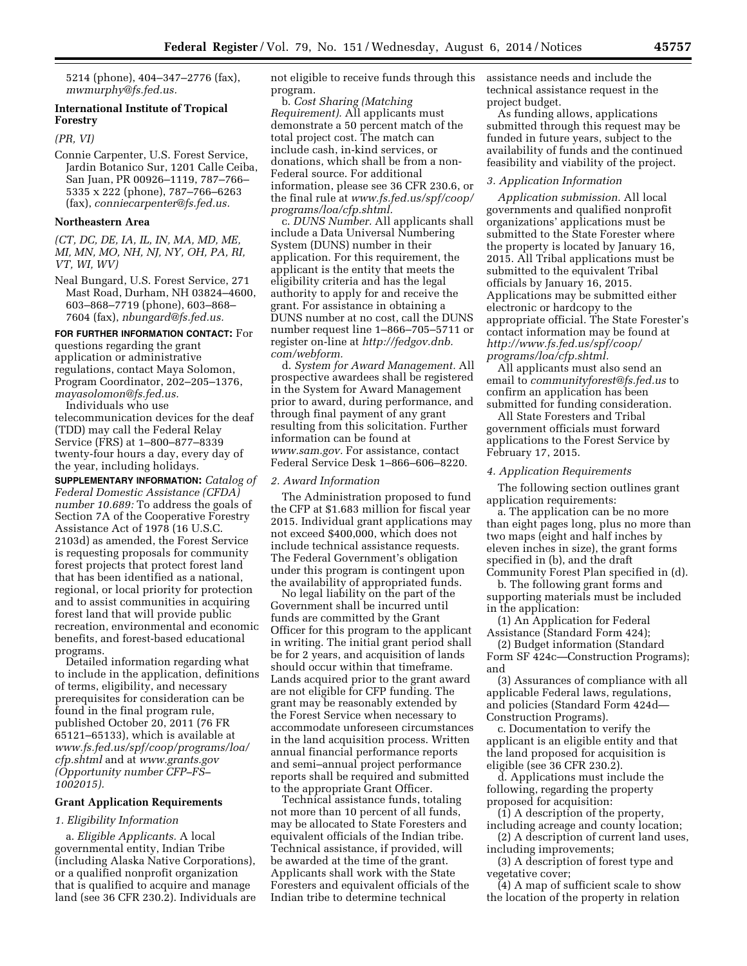5214 (phone), 404–347–2776 (fax), *[mwmurphy@fs.fed.us.](mailto:mwmurphy@fs.fed.us)* 

# **International Institute of Tropical Forestry**

*(PR, VI)* 

Connie Carpenter, U.S. Forest Service, Jardin Botanico Sur, 1201 Calle Ceiba, San Juan, PR 00926–1119, 787–766– 5335 x 222 (phone), 787–766–6263 (fax), *[conniecarpenter@fs.fed.us.](mailto:conniecarpenter@fs.fed.us)* 

## **Northeastern Area**

*(CT, DC, DE, IA, IL, IN, MA, MD, ME, MI, MN, MO, NH, NJ, NY, OH, PA, RI, VT, WI, WV)* 

Neal Bungard, U.S. Forest Service, 271 Mast Road, Durham, NH 03824–4600, 603–868–7719 (phone), 603–868– 7604 (fax), *[nbungard@fs.fed.us.](mailto:nbungard@fs.fed.us)* 

#### **FOR FURTHER INFORMATION CONTACT:** For

questions regarding the grant application or administrative regulations, contact Maya Solomon, Program Coordinator, 202–205–1376, *[mayasolomon@fs.fed.us.](mailto:mayasolomon@fs.fed.us)* 

Individuals who use telecommunication devices for the deaf (TDD) may call the Federal Relay Service (FRS) at 1–800–877–8339 twenty-four hours a day, every day of the year, including holidays.

**SUPPLEMENTARY INFORMATION:** *Catalog of Federal Domestic Assistance (CFDA) number 10.689:* To address the goals of Section 7A of the Cooperative Forestry Assistance Act of 1978 (16 U.S.C. 2103d) as amended, the Forest Service is requesting proposals for community forest projects that protect forest land that has been identified as a national, regional, or local priority for protection and to assist communities in acquiring forest land that will provide public recreation, environmental and economic benefits, and forest-based educational programs.

Detailed information regarding what to include in the application, definitions of terms, eligibility, and necessary prerequisites for consideration can be found in the final program rule, published October 20, 2011 (76 FR 65121–65133), which is available at *[www.fs.fed.us/spf/coop/programs/loa/](http://www.fs.fed.us/spf/coop/programs/loa/cfp.shtml) [cfp.shtml](http://www.fs.fed.us/spf/coop/programs/loa/cfp.shtml)* and at *[www.grants.gov](http://www.grants.gov) (Opportunity number CFP–FS– 1002015).* 

## **Grant Application Requirements**

### *1. Eligibility Information*

a. *Eligible Applicants.* A local governmental entity, Indian Tribe (including Alaska Native Corporations), or a qualified nonprofit organization that is qualified to acquire and manage land (see 36 CFR 230.2). Individuals are not eligible to receive funds through this program.

b. *Cost Sharing (Matching Requirement).* All applicants must demonstrate a 50 percent match of the total project cost. The match can include cash, in-kind services, or donations, which shall be from a non-Federal source. For additional information, please see 36 CFR 230.6, or the final rule at *[www.fs.fed.us/spf/coop/](http://www.fs.fed.us/spf/coop/programs/loa/cfp.shtml) [programs/loa/cfp.shtml.](http://www.fs.fed.us/spf/coop/programs/loa/cfp.shtml)* 

c. *DUNS Number.* All applicants shall include a Data Universal Numbering System (DUNS) number in their application. For this requirement, the applicant is the entity that meets the eligibility criteria and has the legal authority to apply for and receive the grant. For assistance in obtaining a DUNS number at no cost, call the DUNS number request line 1–866–705–5711 or register on-line at *[http://fedgov.dnb.](http://fedgov.dnb.com/webform) [com/webform.](http://fedgov.dnb.com/webform)* 

d. *System for Award Management.* All prospective awardees shall be registered in the System for Award Management prior to award, during performance, and through final payment of any grant resulting from this solicitation. Further information can be found at *[www.sam.gov.](http://www.sam.gov)* For assistance, contact Federal Service Desk 1–866–606–8220.

# *2. Award Information*

The Administration proposed to fund the CFP at \$1.683 million for fiscal year 2015. Individual grant applications may not exceed \$400,000, which does not include technical assistance requests. The Federal Government's obligation under this program is contingent upon the availability of appropriated funds.

No legal liability on the part of the Government shall be incurred until funds are committed by the Grant Officer for this program to the applicant in writing. The initial grant period shall be for 2 years, and acquisition of lands should occur within that timeframe. Lands acquired prior to the grant award are not eligible for CFP funding. The grant may be reasonably extended by the Forest Service when necessary to accommodate unforeseen circumstances in the land acquisition process. Written annual financial performance reports and semi–annual project performance reports shall be required and submitted to the appropriate Grant Officer.

Technical assistance funds, totaling not more than 10 percent of all funds, may be allocated to State Foresters and equivalent officials of the Indian tribe. Technical assistance, if provided, will be awarded at the time of the grant. Applicants shall work with the State Foresters and equivalent officials of the Indian tribe to determine technical

assistance needs and include the technical assistance request in the project budget.

As funding allows, applications submitted through this request may be funded in future years, subject to the availability of funds and the continued feasibility and viability of the project.

# *3. Application Information*

*Application submission.* All local governments and qualified nonprofit organizations' applications must be submitted to the State Forester where the property is located by January 16, 2015. All Tribal applications must be submitted to the equivalent Tribal officials by January 16, 2015. Applications may be submitted either electronic or hardcopy to the appropriate official. The State Forester's contact information may be found at *[http://www.fs.fed.us/spf/coop/](http://www.fs.fed.us/spf/coop/programs/loa/cfp.shtml) [programs/loa/cfp.shtml.](http://www.fs.fed.us/spf/coop/programs/loa/cfp.shtml)* 

All applicants must also send an email to *[communityforest@fs.fed.us](mailto:communityforest@fs.fed.us)* to confirm an application has been submitted for funding consideration.

All State Foresters and Tribal government officials must forward applications to the Forest Service by February 17, 2015.

### *4. Application Requirements*

The following section outlines grant application requirements:

a. The application can be no more than eight pages long, plus no more than two maps (eight and half inches by eleven inches in size), the grant forms specified in (b), and the draft Community Forest Plan specified in (d).

b. The following grant forms and supporting materials must be included in the application:

(1) An Application for Federal Assistance (Standard Form 424);

(2) Budget information (Standard Form SF 424c—Construction Programs); and

(3) Assurances of compliance with all applicable Federal laws, regulations, and policies (Standard Form 424d— Construction Programs).

c. Documentation to verify the applicant is an eligible entity and that the land proposed for acquisition is eligible (see 36 CFR 230.2).

d. Applications must include the following, regarding the property proposed for acquisition:

(1) A description of the property, including acreage and county location;

(2) A description of current land uses, including improvements;

(3) A description of forest type and vegetative cover;

(4) A map of sufficient scale to show the location of the property in relation